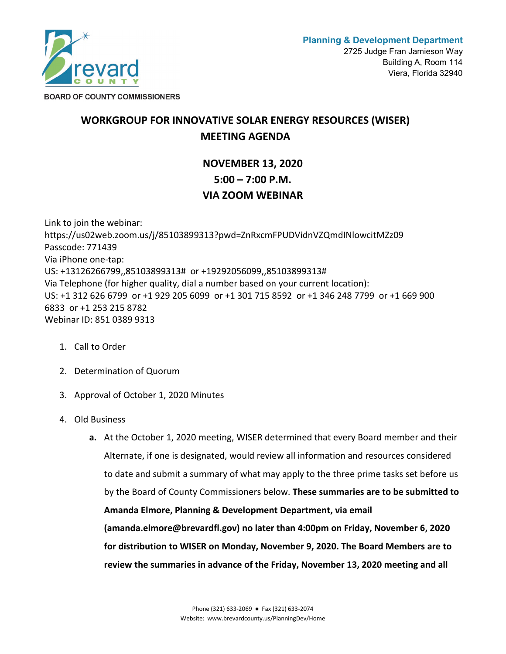

**BOARD OF COUNTY COMMISSIONERS** 

## **WORKGROUP FOR INNOVATIVE SOLAR ENERGY RESOURCES (WISER) MEETING AGENDA**

## **NOVEMBER 13, 2020 5:00 – 7:00 P.M. VIA ZOOM WEBINAR**

Link to join the webinar: https://us02web.zoom.us/j/85103899313?pwd=ZnRxcmFPUDVidnVZQmdINlowcitMZz09 Passcode: 771439 Via iPhone one-tap: US: +13126266799,,85103899313# or +19292056099,,85103899313# Via Telephone (for higher quality, dial a number based on your current location): US: +1 312 626 6799 or +1 929 205 6099 or +1 301 715 8592 or +1 346 248 7799 or +1 669 900 6833 or +1 253 215 8782 Webinar ID: 851 0389 9313

- 1. Call to Order
- 2. Determination of Quorum
- 3. Approval of October 1, 2020 Minutes
- 4. Old Business
	- **a.** At the October 1, 2020 meeting, WISER determined that every Board member and their Alternate, if one is designated, would review all information and resources considered to date and submit a summary of what may apply to the three prime tasks set before us by the Board of County Commissioners below. **These summaries are to be submitted to Amanda Elmore, Planning & Development Department, via email (amanda.elmore@brevardfl.gov) no later than 4:00pm on Friday, November 6, 2020 for distribution to WISER on Monday, November 9, 2020. The Board Members are to review the summaries in advance of the Friday, November 13, 2020 meeting and all**